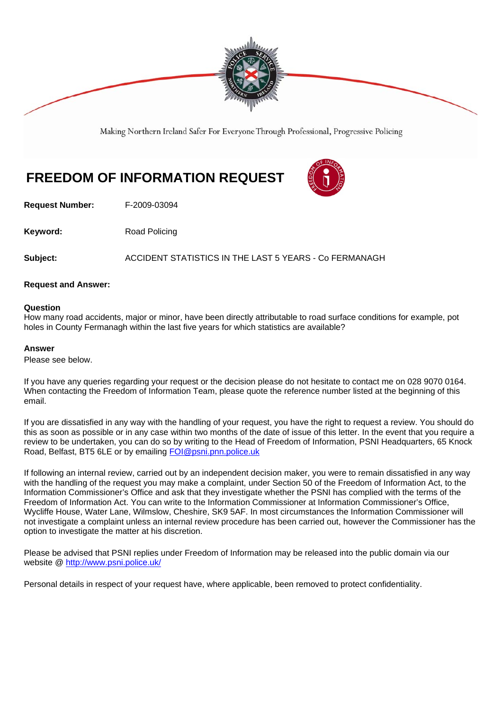

Making Northern Ireland Safer For Everyone Through Professional, Progressive Policing

## **FREEDOM OF INFORMATION REQUEST**

**Request Number:** F-2009-03094

**Keyword:** Road Policing

**Subject:** ACCIDENT STATISTICS IN THE LAST 5 YEARS - Co FERMANAGH

### **Request and Answer:**

### **Question**

How many road accidents, major or minor, have been directly attributable to road surface conditions for example, pot holes in County Fermanagh within the last five years for which statistics are available?

#### **Answer**

Please see below.

If you have any queries regarding your request or the decision please do not hesitate to contact me on 028 9070 0164. When contacting the Freedom of Information Team, please quote the reference number listed at the beginning of this email.

If you are dissatisfied in any way with the handling of your request, you have the right to request a review. You should do this as soon as possible or in any case within two months of the date of issue of this letter. In the event that you require a review to be undertaken, you can do so by writing to the Head of Freedom of Information, PSNI Headquarters, 65 Knock Road, Belfast, BT5 6LE or by emailing FOI@psni.pnn.police.uk

If following an internal review, carried out by an independent decision maker, you were to remain dissatisfied in any way with the handling of the request you may make a complaint, under Section 50 of the Freedom of Information Act, to the Information Commissioner's Office and ask that they investigate whether the PSNI has complied with the terms of the Freedom of Information Act. You can write to the Information Commissioner at Information Commissioner's Office, Wycliffe House, Water Lane, Wilmslow, Cheshire, SK9 5AF. In most circumstances the Information Commissioner will not investigate a complaint unless an internal review procedure has been carried out, however the Commissioner has the option to investigate the matter at his discretion.

Please be advised that PSNI replies under Freedom of Information may be released into the public domain via our website @ http://www.psni.police.uk/

Personal details in respect of your request have, where applicable, been removed to protect confidentiality.